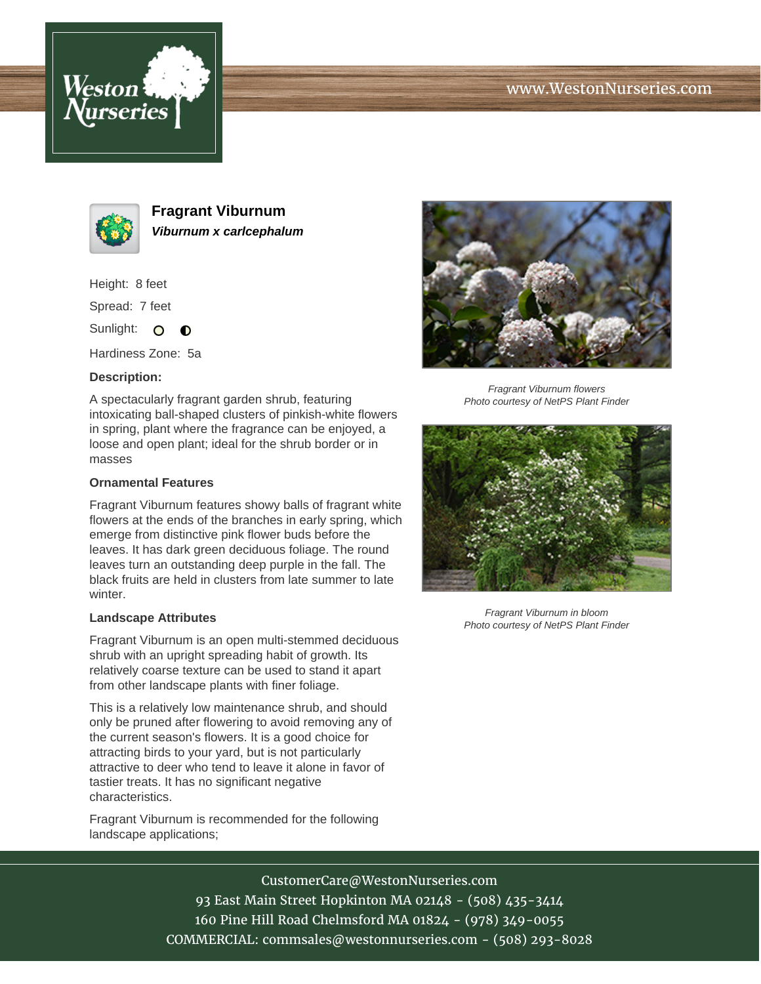





**Fragrant Viburnum Viburnum x carlcephalum**

Height: 8 feet

Spread: 7 feet

Sunlight: O  $\bullet$ 

Hardiness Zone: 5a

## **Description:**

A spectacularly fragrant garden shrub, featuring intoxicating ball-shaped clusters of pinkish-white flowers in spring, plant where the fragrance can be enjoyed, a loose and open plant; ideal for the shrub border or in masses

## **Ornamental Features**

Fragrant Viburnum features showy balls of fragrant white flowers at the ends of the branches in early spring, which emerge from distinctive pink flower buds before the leaves. It has dark green deciduous foliage. The round leaves turn an outstanding deep purple in the fall. The black fruits are held in clusters from late summer to late winter.

## **Landscape Attributes**

Fragrant Viburnum is an open multi-stemmed deciduous shrub with an upright spreading habit of growth. Its relatively coarse texture can be used to stand it apart from other landscape plants with finer foliage.

This is a relatively low maintenance shrub, and should only be pruned after flowering to avoid removing any of the current season's flowers. It is a good choice for attracting birds to your yard, but is not particularly attractive to deer who tend to leave it alone in favor of tastier treats. It has no significant negative characteristics.

Fragrant Viburnum is recommended for the following landscape applications;



Fragrant Viburnum flowers Photo courtesy of NetPS Plant Finder



Fragrant Viburnum in bloom Photo courtesy of NetPS Plant Finder

CustomerCare@WestonNurseries.com 93 East Main Street Hopkinton MA 02148 - (508) 435-3414 160 Pine Hill Road Chelmsford MA 01824 - (978) 349-0055 COMMERCIAL: commsales@westonnurseries.com - (508) 293-8028